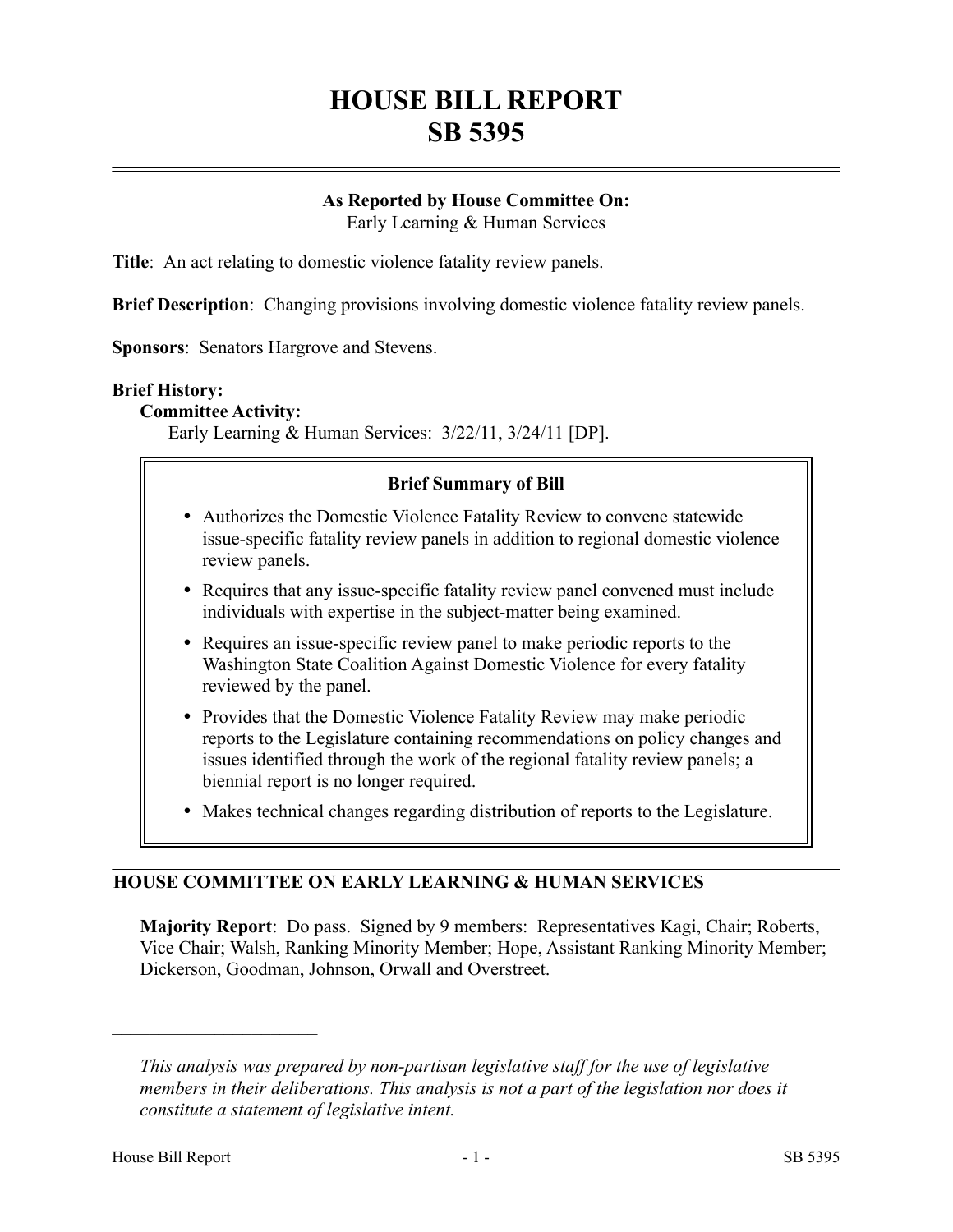# **HOUSE BILL REPORT SB 5395**

# **As Reported by House Committee On:**

Early Learning & Human Services

**Title**: An act relating to domestic violence fatality review panels.

**Brief Description**: Changing provisions involving domestic violence fatality review panels.

**Sponsors**: Senators Hargrove and Stevens.

#### **Brief History:**

#### **Committee Activity:**

Early Learning & Human Services: 3/22/11, 3/24/11 [DP].

#### **Brief Summary of Bill**

- Authorizes the Domestic Violence Fatality Review to convene statewide issue-specific fatality review panels in addition to regional domestic violence review panels.
- Requires that any issue-specific fatality review panel convened must include individuals with expertise in the subject-matter being examined.
- Requires an issue-specific review panel to make periodic reports to the Washington State Coalition Against Domestic Violence for every fatality reviewed by the panel.
- Provides that the Domestic Violence Fatality Review may make periodic reports to the Legislature containing recommendations on policy changes and issues identified through the work of the regional fatality review panels; a biennial report is no longer required.
- Makes technical changes regarding distribution of reports to the Legislature.

## **HOUSE COMMITTEE ON EARLY LEARNING & HUMAN SERVICES**

**Majority Report**: Do pass. Signed by 9 members: Representatives Kagi, Chair; Roberts, Vice Chair; Walsh, Ranking Minority Member; Hope, Assistant Ranking Minority Member; Dickerson, Goodman, Johnson, Orwall and Overstreet.

––––––––––––––––––––––

*This analysis was prepared by non-partisan legislative staff for the use of legislative members in their deliberations. This analysis is not a part of the legislation nor does it constitute a statement of legislative intent.*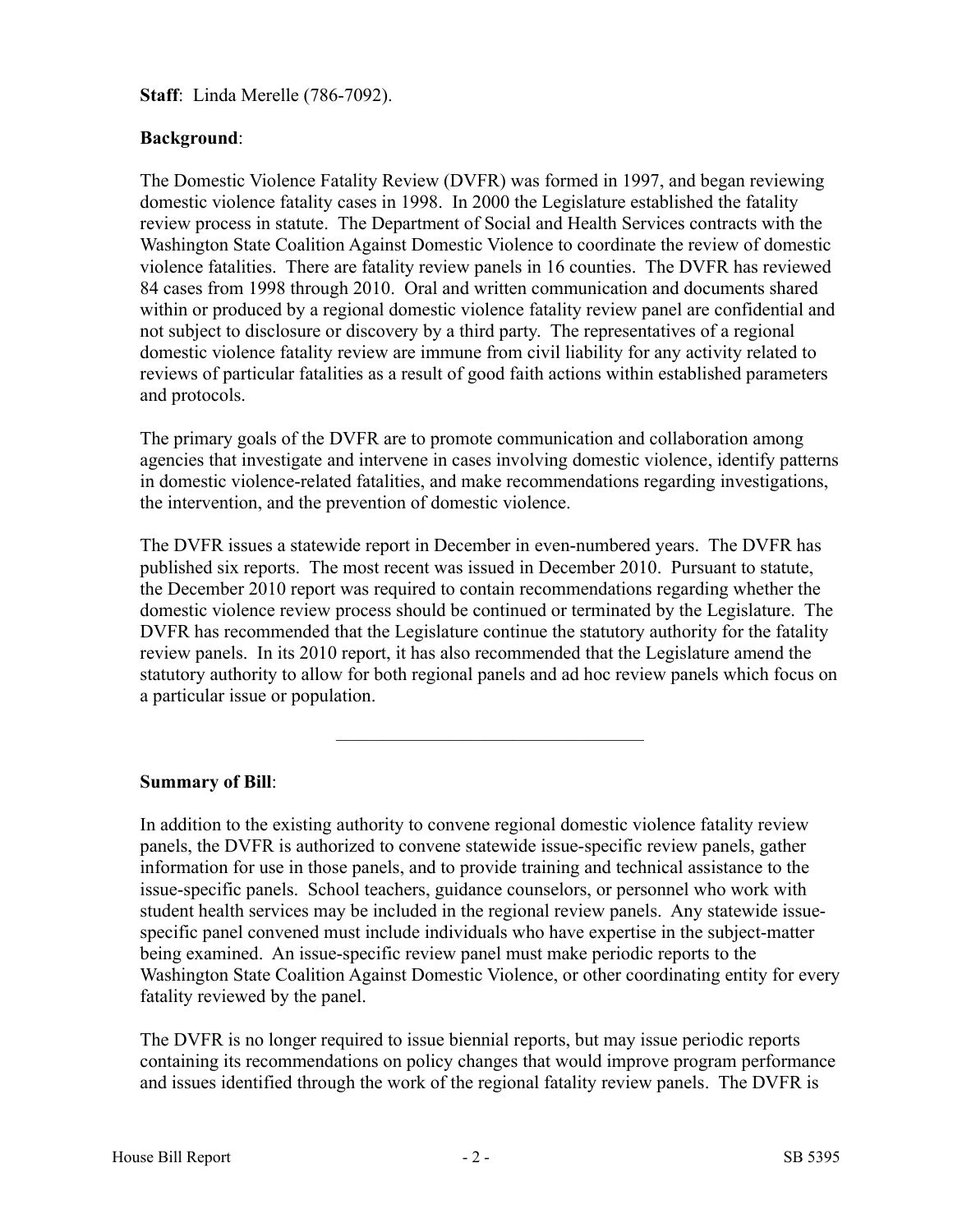**Staff**: Linda Merelle (786-7092).

# **Background**:

The Domestic Violence Fatality Review (DVFR) was formed in 1997, and began reviewing domestic violence fatality cases in 1998. In 2000 the Legislature established the fatality review process in statute. The Department of Social and Health Services contracts with the Washington State Coalition Against Domestic Violence to coordinate the review of domestic violence fatalities. There are fatality review panels in 16 counties. The DVFR has reviewed 84 cases from 1998 through 2010. Oral and written communication and documents shared within or produced by a regional domestic violence fatality review panel are confidential and not subject to disclosure or discovery by a third party. The representatives of a regional domestic violence fatality review are immune from civil liability for any activity related to reviews of particular fatalities as a result of good faith actions within established parameters and protocols.

The primary goals of the DVFR are to promote communication and collaboration among agencies that investigate and intervene in cases involving domestic violence, identify patterns in domestic violence-related fatalities, and make recommendations regarding investigations, the intervention, and the prevention of domestic violence.

The DVFR issues a statewide report in December in even-numbered years. The DVFR has published six reports. The most recent was issued in December 2010. Pursuant to statute, the December 2010 report was required to contain recommendations regarding whether the domestic violence review process should be continued or terminated by the Legislature. The DVFR has recommended that the Legislature continue the statutory authority for the fatality review panels. In its 2010 report, it has also recommended that the Legislature amend the statutory authority to allow for both regional panels and ad hoc review panels which focus on a particular issue or population.

–––––––––––––––––––––––––––––––––

## **Summary of Bill**:

In addition to the existing authority to convene regional domestic violence fatality review panels, the DVFR is authorized to convene statewide issue-specific review panels, gather information for use in those panels, and to provide training and technical assistance to the issue-specific panels. School teachers, guidance counselors, or personnel who work with student health services may be included in the regional review panels. Any statewide issuespecific panel convened must include individuals who have expertise in the subject-matter being examined. An issue-specific review panel must make periodic reports to the Washington State Coalition Against Domestic Violence, or other coordinating entity for every fatality reviewed by the panel.

The DVFR is no longer required to issue biennial reports, but may issue periodic reports containing its recommendations on policy changes that would improve program performance and issues identified through the work of the regional fatality review panels. The DVFR is